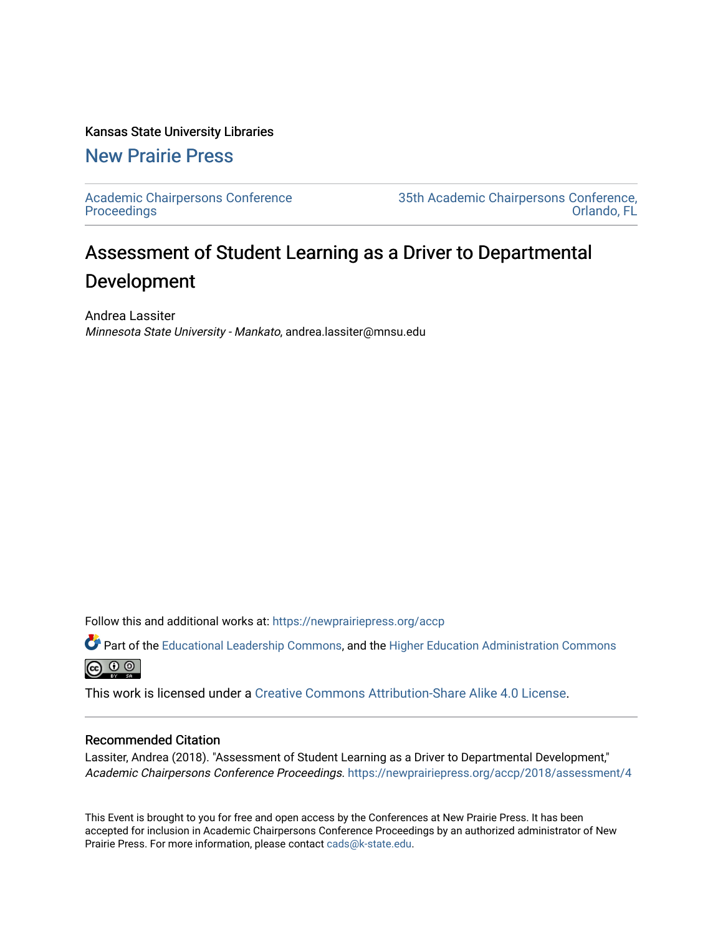## Kansas State University Libraries

# [New Prairie Press](https://newprairiepress.org/)

[Academic Chairpersons Conference](https://newprairiepress.org/accp)  **Proceedings** 

[35th Academic Chairpersons Conference,](https://newprairiepress.org/accp/2018)  [Orlando, FL](https://newprairiepress.org/accp/2018) 

# Assessment of Student Learning as a Driver to Departmental Development

Andrea Lassiter Minnesota State University - Mankato, andrea.lassiter@mnsu.edu

Follow this and additional works at: [https://newprairiepress.org/accp](https://newprairiepress.org/accp?utm_source=newprairiepress.org%2Faccp%2F2018%2Fassessment%2F4&utm_medium=PDF&utm_campaign=PDFCoverPages) 

Part of the [Educational Leadership Commons,](http://network.bepress.com/hgg/discipline/1230?utm_source=newprairiepress.org%2Faccp%2F2018%2Fassessment%2F4&utm_medium=PDF&utm_campaign=PDFCoverPages) and the [Higher Education Administration Commons](http://network.bepress.com/hgg/discipline/791?utm_source=newprairiepress.org%2Faccp%2F2018%2Fassessment%2F4&utm_medium=PDF&utm_campaign=PDFCoverPages)  $\circledcirc$ 

This work is licensed under a [Creative Commons Attribution-Share Alike 4.0 License.](https://creativecommons.org/licenses/by-sa/4.0/)

## Recommended Citation

Lassiter, Andrea (2018). "Assessment of Student Learning as a Driver to Departmental Development," Academic Chairpersons Conference Proceedings. <https://newprairiepress.org/accp/2018/assessment/4>

This Event is brought to you for free and open access by the Conferences at New Prairie Press. It has been accepted for inclusion in Academic Chairpersons Conference Proceedings by an authorized administrator of New Prairie Press. For more information, please contact [cads@k-state.edu.](mailto:cads@k-state.edu)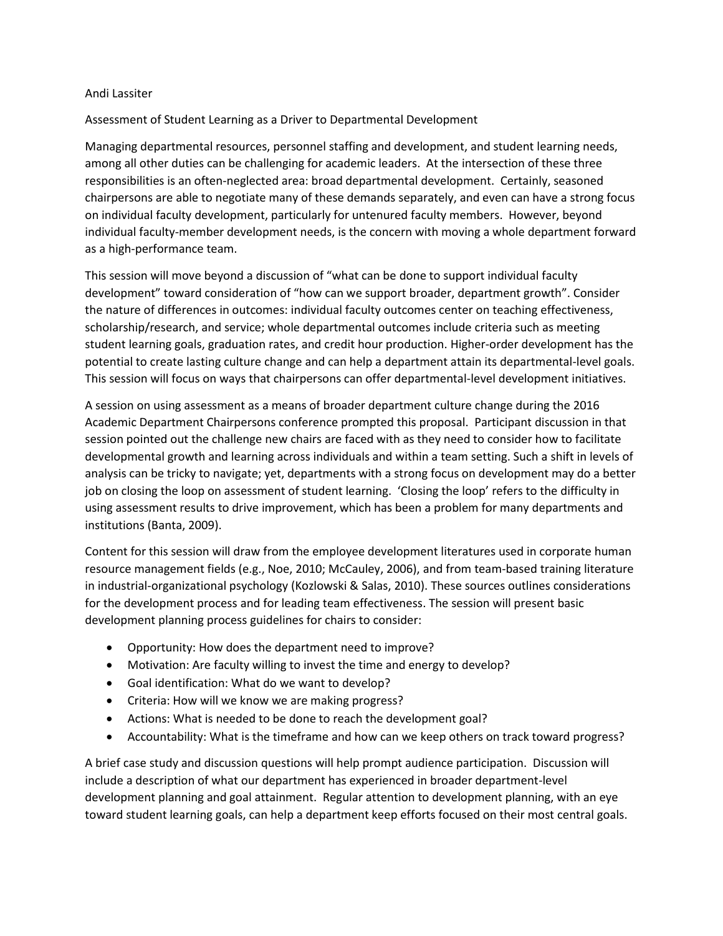#### Andi Lassiter

#### Assessment of Student Learning as a Driver to Departmental Development

Managing departmental resources, personnel staffing and development, and student learning needs, among all other duties can be challenging for academic leaders. At the intersection of these three responsibilities is an often-neglected area: broad departmental development. Certainly, seasoned chairpersons are able to negotiate many of these demands separately, and even can have a strong focus on individual faculty development, particularly for untenured faculty members. However, beyond individual faculty-member development needs, is the concern with moving a whole department forward as a high-performance team.

This session will move beyond a discussion of "what can be done to support individual faculty development" toward consideration of "how can we support broader, department growth". Consider the nature of differences in outcomes: individual faculty outcomes center on teaching effectiveness, scholarship/research, and service; whole departmental outcomes include criteria such as meeting student learning goals, graduation rates, and credit hour production. Higher-order development has the potential to create lasting culture change and can help a department attain its departmental-level goals. This session will focus on ways that chairpersons can offer departmental-level development initiatives.

A session on using assessment as a means of broader department culture change during the 2016 Academic Department Chairpersons conference prompted this proposal. Participant discussion in that session pointed out the challenge new chairs are faced with as they need to consider how to facilitate developmental growth and learning across individuals and within a team setting. Such a shift in levels of analysis can be tricky to navigate; yet, departments with a strong focus on development may do a better job on closing the loop on assessment of student learning. 'Closing the loop' refers to the difficulty in using assessment results to drive improvement, which has been a problem for many departments and institutions (Banta, 2009).

Content for this session will draw from the employee development literatures used in corporate human resource management fields (e.g., Noe, 2010; McCauley, 2006), and from team-based training literature in industrial-organizational psychology (Kozlowski & Salas, 2010). These sources outlines considerations for the development process and for leading team effectiveness. The session will present basic development planning process guidelines for chairs to consider:

- Opportunity: How does the department need to improve?
- Motivation: Are faculty willing to invest the time and energy to develop?
- Goal identification: What do we want to develop?
- Criteria: How will we know we are making progress?
- Actions: What is needed to be done to reach the development goal?
- Accountability: What is the timeframe and how can we keep others on track toward progress?

A brief case study and discussion questions will help prompt audience participation. Discussion will include a description of what our department has experienced in broader department-level development planning and goal attainment. Regular attention to development planning, with an eye toward student learning goals, can help a department keep efforts focused on their most central goals.